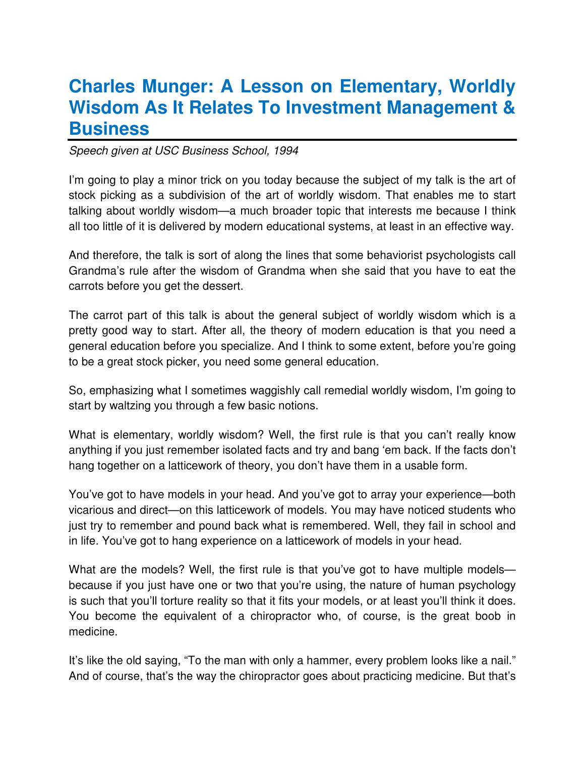## **Charles Munger: A Lesson on Elementary, Worldly Wisdom As It Relates To Investment Management & Business**

## Speech given at USC Business School, 1994

I'm going to play a minor trick on you today because the subject of my talk is the art of stock picking as a subdivision of the art of worldly wisdom. That enables me to start talking about worldly wisdom—a much broader topic that interests me because I think all too little of it is delivered by modern educational systems, at least in an effective way.

And therefore, the talk is sort of along the lines that some behaviorist psychologists call Grandma's rule after the wisdom of Grandma when she said that you have to eat the carrots before you get the dessert.

The carrot part of this talk is about the general subject of worldly wisdom which is a pretty good way to start. After all, the theory of modern education is that you need a general education before you specialize. And I think to some extent, before you're going to be a great stock picker, you need some general education.

So, emphasizing what I sometimes waggishly call remedial worldly wisdom, I'm going to start by waltzing you through a few basic notions.

What is elementary, worldly wisdom? Well, the first rule is that you can't really know anything if you just remember isolated facts and try and bang 'em back. If the facts don't hang together on a latticework of theory, you don't have them in a usable form.

You've got to have models in your head. And you've got to array your experience—both vicarious and direct—on this latticework of models. You may have noticed students who just try to remember and pound back what is remembered. Well, they fail in school and in life. You've got to hang experience on a latticework of models in your head.

What are the models? Well, the first rule is that you've got to have multiple models because if you just have one or two that you're using, the nature of human psychology is such that you'll torture reality so that it fits your models, or at least you'll think it does. You become the equivalent of a chiropractor who, of course, is the great boob in medicine.

It's like the old saying, "To the man with only a hammer, every problem looks like a nail." And of course, that's the way the chiropractor goes about practicing medicine. But that's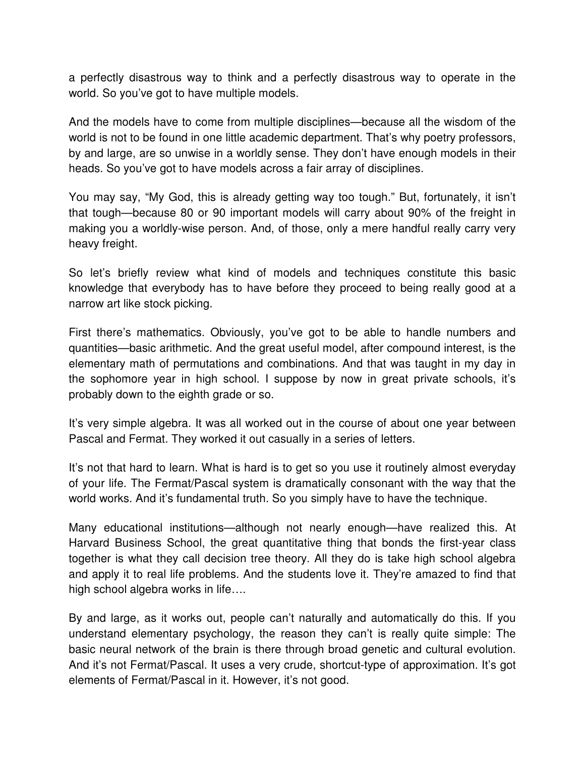a perfectly disastrous way to think and a perfectly disastrous way to operate in the world. So you've got to have multiple models.

And the models have to come from multiple disciplines—because all the wisdom of the world is not to be found in one little academic department. That's why poetry professors, by and large, are so unwise in a worldly sense. They don't have enough models in their heads. So you've got to have models across a fair array of disciplines.

You may say, "My God, this is already getting way too tough." But, fortunately, it isn't that tough—because 80 or 90 important models will carry about 90% of the freight in making you a worldly-wise person. And, of those, only a mere handful really carry very heavy freight.

So let's briefly review what kind of models and techniques constitute this basic knowledge that everybody has to have before they proceed to being really good at a narrow art like stock picking.

First there's mathematics. Obviously, you've got to be able to handle numbers and quantities—basic arithmetic. And the great useful model, after compound interest, is the elementary math of permutations and combinations. And that was taught in my day in the sophomore year in high school. I suppose by now in great private schools, it's probably down to the eighth grade or so.

It's very simple algebra. It was all worked out in the course of about one year between Pascal and Fermat. They worked it out casually in a series of letters.

It's not that hard to learn. What is hard is to get so you use it routinely almost everyday of your life. The Fermat/Pascal system is dramatically consonant with the way that the world works. And it's fundamental truth. So you simply have to have the technique.

Many educational institutions—although not nearly enough—have realized this. At Harvard Business School, the great quantitative thing that bonds the first-year class together is what they call decision tree theory. All they do is take high school algebra and apply it to real life problems. And the students love it. They're amazed to find that high school algebra works in life….

By and large, as it works out, people can't naturally and automatically do this. If you understand elementary psychology, the reason they can't is really quite simple: The basic neural network of the brain is there through broad genetic and cultural evolution. And it's not Fermat/Pascal. It uses a very crude, shortcut-type of approximation. It's got elements of Fermat/Pascal in it. However, it's not good.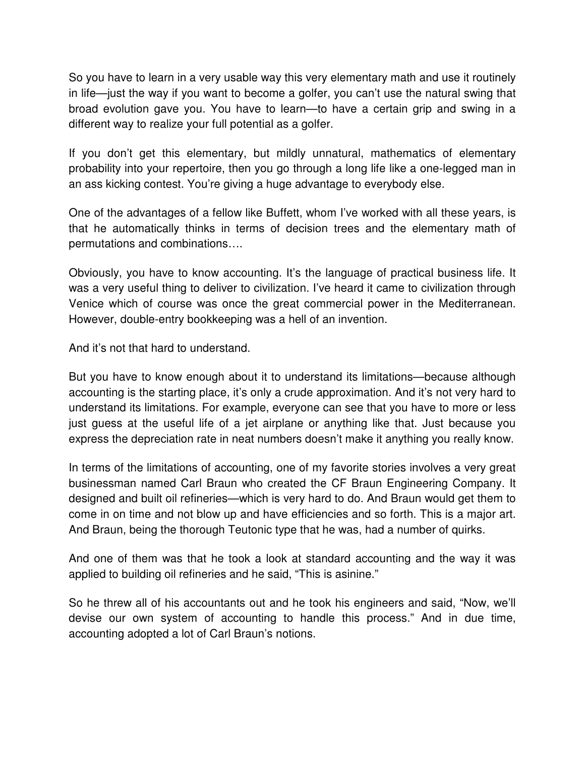So you have to learn in a very usable way this very elementary math and use it routinely in life—just the way if you want to become a golfer, you can't use the natural swing that broad evolution gave you. You have to learn—to have a certain grip and swing in a different way to realize your full potential as a golfer.

If you don't get this elementary, but mildly unnatural, mathematics of elementary probability into your repertoire, then you go through a long life like a one-legged man in an ass kicking contest. You're giving a huge advantage to everybody else.

One of the advantages of a fellow like Buffett, whom I've worked with all these years, is that he automatically thinks in terms of decision trees and the elementary math of permutations and combinations….

Obviously, you have to know accounting. It's the language of practical business life. It was a very useful thing to deliver to civilization. I've heard it came to civilization through Venice which of course was once the great commercial power in the Mediterranean. However, double-entry bookkeeping was a hell of an invention.

And it's not that hard to understand.

But you have to know enough about it to understand its limitations—because although accounting is the starting place, it's only a crude approximation. And it's not very hard to understand its limitations. For example, everyone can see that you have to more or less just guess at the useful life of a jet airplane or anything like that. Just because you express the depreciation rate in neat numbers doesn't make it anything you really know.

In terms of the limitations of accounting, one of my favorite stories involves a very great businessman named Carl Braun who created the CF Braun Engineering Company. It designed and built oil refineries—which is very hard to do. And Braun would get them to come in on time and not blow up and have efficiencies and so forth. This is a major art. And Braun, being the thorough Teutonic type that he was, had a number of quirks.

And one of them was that he took a look at standard accounting and the way it was applied to building oil refineries and he said, "This is asinine."

So he threw all of his accountants out and he took his engineers and said, "Now, we'll devise our own system of accounting to handle this process." And in due time, accounting adopted a lot of Carl Braun's notions.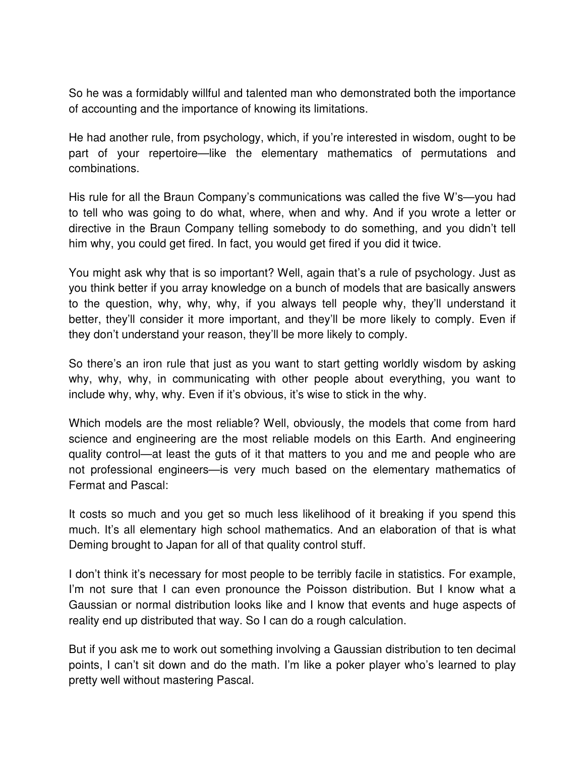So he was a formidably willful and talented man who demonstrated both the importance of accounting and the importance of knowing its limitations.

He had another rule, from psychology, which, if you're interested in wisdom, ought to be part of your repertoire—like the elementary mathematics of permutations and combinations.

His rule for all the Braun Company's communications was called the five W's—you had to tell who was going to do what, where, when and why. And if you wrote a letter or directive in the Braun Company telling somebody to do something, and you didn't tell him why, you could get fired. In fact, you would get fired if you did it twice.

You might ask why that is so important? Well, again that's a rule of psychology. Just as you think better if you array knowledge on a bunch of models that are basically answers to the question, why, why, why, if you always tell people why, they'll understand it better, they'll consider it more important, and they'll be more likely to comply. Even if they don't understand your reason, they'll be more likely to comply.

So there's an iron rule that just as you want to start getting worldly wisdom by asking why, why, why, in communicating with other people about everything, you want to include why, why, why. Even if it's obvious, it's wise to stick in the why.

Which models are the most reliable? Well, obviously, the models that come from hard science and engineering are the most reliable models on this Earth. And engineering quality control—at least the guts of it that matters to you and me and people who are not professional engineers—is very much based on the elementary mathematics of Fermat and Pascal:

It costs so much and you get so much less likelihood of it breaking if you spend this much. It's all elementary high school mathematics. And an elaboration of that is what Deming brought to Japan for all of that quality control stuff.

I don't think it's necessary for most people to be terribly facile in statistics. For example, I'm not sure that I can even pronounce the Poisson distribution. But I know what a Gaussian or normal distribution looks like and I know that events and huge aspects of reality end up distributed that way. So I can do a rough calculation.

But if you ask me to work out something involving a Gaussian distribution to ten decimal points, I can't sit down and do the math. I'm like a poker player who's learned to play pretty well without mastering Pascal.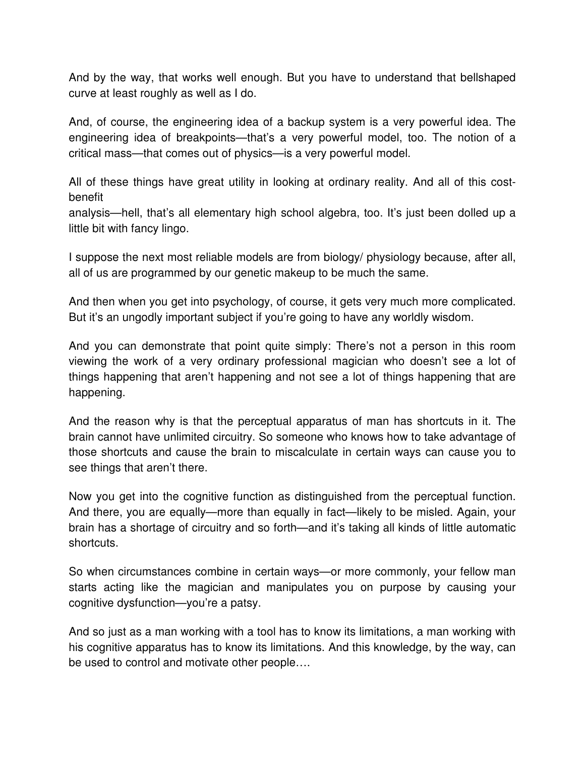And by the way, that works well enough. But you have to understand that bellshaped curve at least roughly as well as I do.

And, of course, the engineering idea of a backup system is a very powerful idea. The engineering idea of breakpoints—that's a very powerful model, too. The notion of a critical mass—that comes out of physics—is a very powerful model.

All of these things have great utility in looking at ordinary reality. And all of this costbenefit

analysis—hell, that's all elementary high school algebra, too. It's just been dolled up a little bit with fancy lingo.

I suppose the next most reliable models are from biology/ physiology because, after all, all of us are programmed by our genetic makeup to be much the same.

And then when you get into psychology, of course, it gets very much more complicated. But it's an ungodly important subject if you're going to have any worldly wisdom.

And you can demonstrate that point quite simply: There's not a person in this room viewing the work of a very ordinary professional magician who doesn't see a lot of things happening that aren't happening and not see a lot of things happening that are happening.

And the reason why is that the perceptual apparatus of man has shortcuts in it. The brain cannot have unlimited circuitry. So someone who knows how to take advantage of those shortcuts and cause the brain to miscalculate in certain ways can cause you to see things that aren't there.

Now you get into the cognitive function as distinguished from the perceptual function. And there, you are equally—more than equally in fact—likely to be misled. Again, your brain has a shortage of circuitry and so forth—and it's taking all kinds of little automatic shortcuts.

So when circumstances combine in certain ways—or more commonly, your fellow man starts acting like the magician and manipulates you on purpose by causing your cognitive dysfunction—you're a patsy.

And so just as a man working with a tool has to know its limitations, a man working with his cognitive apparatus has to know its limitations. And this knowledge, by the way, can be used to control and motivate other people….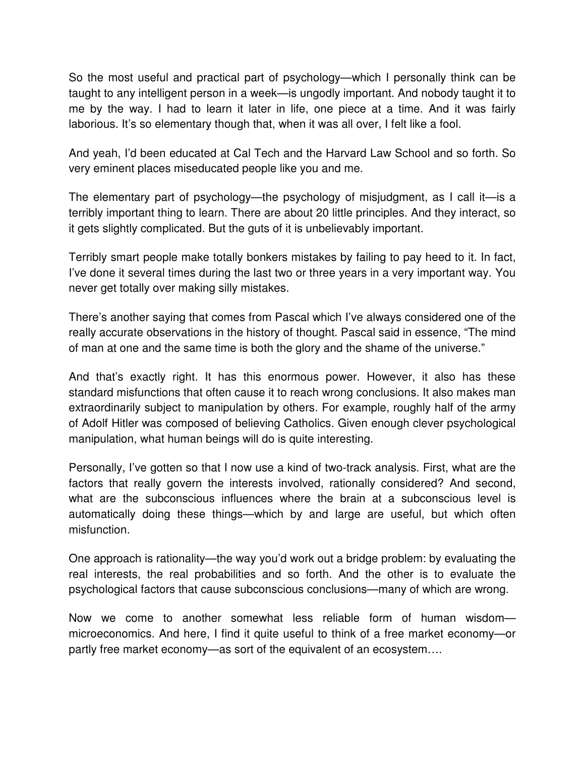So the most useful and practical part of psychology—which I personally think can be taught to any intelligent person in a week—is ungodly important. And nobody taught it to me by the way. I had to learn it later in life, one piece at a time. And it was fairly laborious. It's so elementary though that, when it was all over, I felt like a fool.

And yeah, I'd been educated at Cal Tech and the Harvard Law School and so forth. So very eminent places miseducated people like you and me.

The elementary part of psychology—the psychology of misjudgment, as I call it—is a terribly important thing to learn. There are about 20 little principles. And they interact, so it gets slightly complicated. But the guts of it is unbelievably important.

Terribly smart people make totally bonkers mistakes by failing to pay heed to it. In fact, I've done it several times during the last two or three years in a very important way. You never get totally over making silly mistakes.

There's another saying that comes from Pascal which I've always considered one of the really accurate observations in the history of thought. Pascal said in essence, "The mind of man at one and the same time is both the glory and the shame of the universe."

And that's exactly right. It has this enormous power. However, it also has these standard misfunctions that often cause it to reach wrong conclusions. It also makes man extraordinarily subject to manipulation by others. For example, roughly half of the army of Adolf Hitler was composed of believing Catholics. Given enough clever psychological manipulation, what human beings will do is quite interesting.

Personally, I've gotten so that I now use a kind of two-track analysis. First, what are the factors that really govern the interests involved, rationally considered? And second, what are the subconscious influences where the brain at a subconscious level is automatically doing these things—which by and large are useful, but which often misfunction.

One approach is rationality—the way you'd work out a bridge problem: by evaluating the real interests, the real probabilities and so forth. And the other is to evaluate the psychological factors that cause subconscious conclusions—many of which are wrong.

Now we come to another somewhat less reliable form of human wisdom microeconomics. And here, I find it quite useful to think of a free market economy—or partly free market economy—as sort of the equivalent of an ecosystem….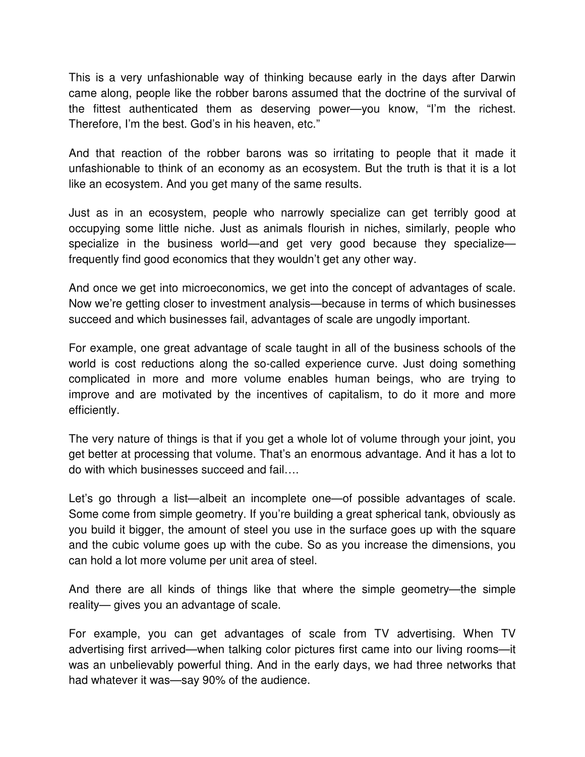This is a very unfashionable way of thinking because early in the days after Darwin came along, people like the robber barons assumed that the doctrine of the survival of the fittest authenticated them as deserving power—you know, "I'm the richest. Therefore, I'm the best. God's in his heaven, etc."

And that reaction of the robber barons was so irritating to people that it made it unfashionable to think of an economy as an ecosystem. But the truth is that it is a lot like an ecosystem. And you get many of the same results.

Just as in an ecosystem, people who narrowly specialize can get terribly good at occupying some little niche. Just as animals flourish in niches, similarly, people who specialize in the business world—and get very good because they specialize frequently find good economics that they wouldn't get any other way.

And once we get into microeconomics, we get into the concept of advantages of scale. Now we're getting closer to investment analysis—because in terms of which businesses succeed and which businesses fail, advantages of scale are ungodly important.

For example, one great advantage of scale taught in all of the business schools of the world is cost reductions along the so-called experience curve. Just doing something complicated in more and more volume enables human beings, who are trying to improve and are motivated by the incentives of capitalism, to do it more and more efficiently.

The very nature of things is that if you get a whole lot of volume through your joint, you get better at processing that volume. That's an enormous advantage. And it has a lot to do with which businesses succeed and fail….

Let's go through a list—albeit an incomplete one—of possible advantages of scale. Some come from simple geometry. If you're building a great spherical tank, obviously as you build it bigger, the amount of steel you use in the surface goes up with the square and the cubic volume goes up with the cube. So as you increase the dimensions, you can hold a lot more volume per unit area of steel.

And there are all kinds of things like that where the simple geometry—the simple reality— gives you an advantage of scale.

For example, you can get advantages of scale from TV advertising. When TV advertising first arrived—when talking color pictures first came into our living rooms—it was an unbelievably powerful thing. And in the early days, we had three networks that had whatever it was—say 90% of the audience.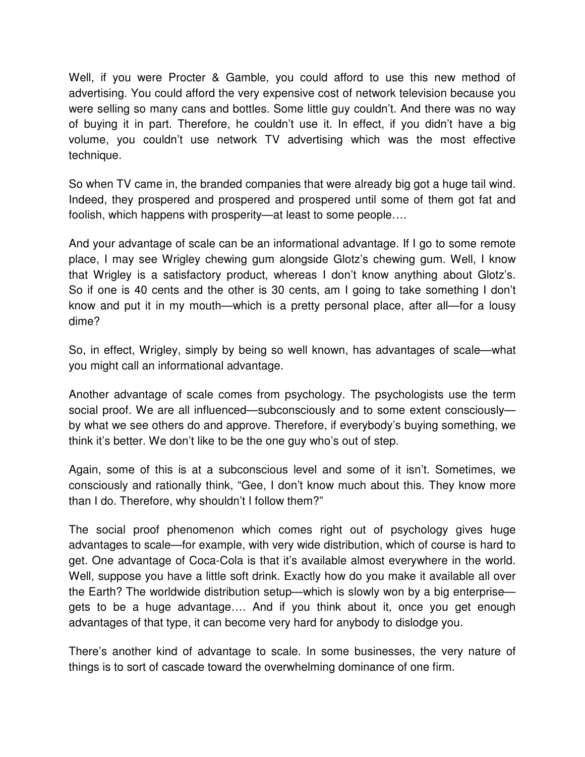Well, if you were Procter & Gamble, you could afford to use this new method of advertising. You could afford the very expensive cost of network television because you were selling so many cans and bottles. Some little guy couldn't. And there was no way of buying it in part. Therefore, he couldn't use it. In effect, if you didn't have a big volume, you couldn't use network TV advertising which was the most effective technique.

So when TV came in, the branded companies that were already big got a huge tail wind. Indeed, they prospered and prospered and prospered until some of them got fat and foolish, which happens with prosperity—at least to some people….

And your advantage of scale can be an informational advantage. If I go to some remote place, I may see Wrigley chewing gum alongside Glotz's chewing gum. Well, I know that Wrigley is a satisfactory product, whereas I don't know anything about Glotz's. So if one is 40 cents and the other is 30 cents, am I going to take something I don't know and put it in my mouth—which is a pretty personal place, after all—for a lousy dime?

So, in effect, Wrigley, simply by being so well known, has advantages of scale—what you might call an informational advantage.

Another advantage of scale comes from psychology. The psychologists use the term social proof. We are all influenced—subconsciously and to some extent consciously by what we see others do and approve. Therefore, if everybody's buying something, we think it's better. We don't like to be the one guy who's out of step.

Again, some of this is at a subconscious level and some of it isn't. Sometimes, we consciously and rationally think, "Gee, I don't know much about this. They know more than I do. Therefore, why shouldn't I follow them?"

The social proof phenomenon which comes right out of psychology gives huge advantages to scale—for example, with very wide distribution, which of course is hard to get. One advantage of Coca-Cola is that it's available almost everywhere in the world. Well, suppose you have a little soft drink. Exactly how do you make it available all over the Earth? The worldwide distribution setup—which is slowly won by a big enterprise gets to be a huge advantage…. And if you think about it, once you get enough advantages of that type, it can become very hard for anybody to dislodge you.

There's another kind of advantage to scale. In some businesses, the very nature of things is to sort of cascade toward the overwhelming dominance of one firm.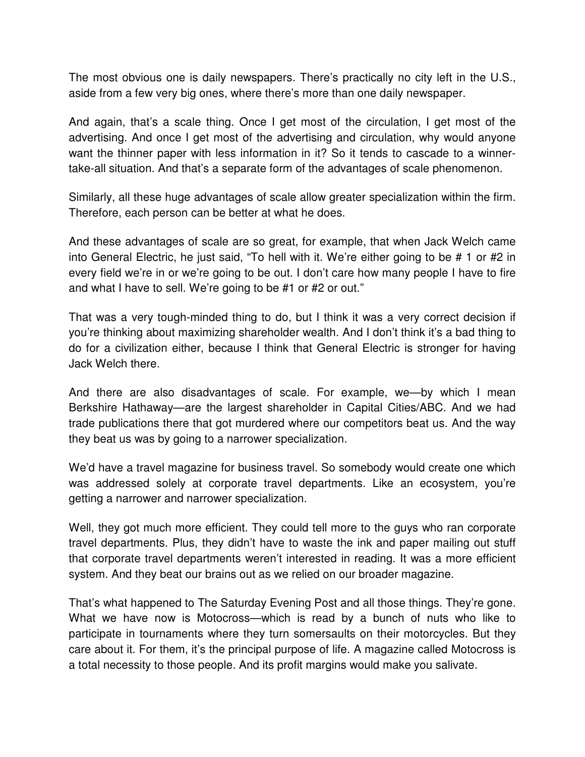The most obvious one is daily newspapers. There's practically no city left in the U.S., aside from a few very big ones, where there's more than one daily newspaper.

And again, that's a scale thing. Once I get most of the circulation, I get most of the advertising. And once I get most of the advertising and circulation, why would anyone want the thinner paper with less information in it? So it tends to cascade to a winnertake-all situation. And that's a separate form of the advantages of scale phenomenon.

Similarly, all these huge advantages of scale allow greater specialization within the firm. Therefore, each person can be better at what he does.

And these advantages of scale are so great, for example, that when Jack Welch came into General Electric, he just said, "To hell with it. We're either going to be # 1 or #2 in every field we're in or we're going to be out. I don't care how many people I have to fire and what I have to sell. We're going to be #1 or #2 or out."

That was a very tough-minded thing to do, but I think it was a very correct decision if you're thinking about maximizing shareholder wealth. And I don't think it's a bad thing to do for a civilization either, because I think that General Electric is stronger for having Jack Welch there.

And there are also disadvantages of scale. For example, we—by which I mean Berkshire Hathaway—are the largest shareholder in Capital Cities/ABC. And we had trade publications there that got murdered where our competitors beat us. And the way they beat us was by going to a narrower specialization.

We'd have a travel magazine for business travel. So somebody would create one which was addressed solely at corporate travel departments. Like an ecosystem, you're getting a narrower and narrower specialization.

Well, they got much more efficient. They could tell more to the guys who ran corporate travel departments. Plus, they didn't have to waste the ink and paper mailing out stuff that corporate travel departments weren't interested in reading. It was a more efficient system. And they beat our brains out as we relied on our broader magazine.

That's what happened to The Saturday Evening Post and all those things. They're gone. What we have now is Motocross—which is read by a bunch of nuts who like to participate in tournaments where they turn somersaults on their motorcycles. But they care about it. For them, it's the principal purpose of life. A magazine called Motocross is a total necessity to those people. And its profit margins would make you salivate.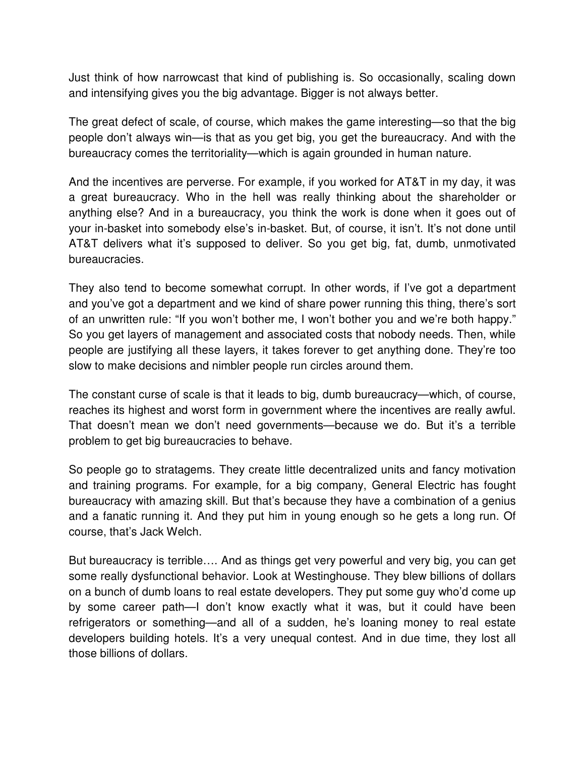Just think of how narrowcast that kind of publishing is. So occasionally, scaling down and intensifying gives you the big advantage. Bigger is not always better.

The great defect of scale, of course, which makes the game interesting—so that the big people don't always win—is that as you get big, you get the bureaucracy. And with the bureaucracy comes the territoriality—which is again grounded in human nature.

And the incentives are perverse. For example, if you worked for AT&T in my day, it was a great bureaucracy. Who in the hell was really thinking about the shareholder or anything else? And in a bureaucracy, you think the work is done when it goes out of your in-basket into somebody else's in-basket. But, of course, it isn't. It's not done until AT&T delivers what it's supposed to deliver. So you get big, fat, dumb, unmotivated bureaucracies.

They also tend to become somewhat corrupt. In other words, if I've got a department and you've got a department and we kind of share power running this thing, there's sort of an unwritten rule: "If you won't bother me, I won't bother you and we're both happy." So you get layers of management and associated costs that nobody needs. Then, while people are justifying all these layers, it takes forever to get anything done. They're too slow to make decisions and nimbler people run circles around them.

The constant curse of scale is that it leads to big, dumb bureaucracy—which, of course, reaches its highest and worst form in government where the incentives are really awful. That doesn't mean we don't need governments—because we do. But it's a terrible problem to get big bureaucracies to behave.

So people go to stratagems. They create little decentralized units and fancy motivation and training programs. For example, for a big company, General Electric has fought bureaucracy with amazing skill. But that's because they have a combination of a genius and a fanatic running it. And they put him in young enough so he gets a long run. Of course, that's Jack Welch.

But bureaucracy is terrible…. And as things get very powerful and very big, you can get some really dysfunctional behavior. Look at Westinghouse. They blew billions of dollars on a bunch of dumb loans to real estate developers. They put some guy who'd come up by some career path—I don't know exactly what it was, but it could have been refrigerators or something—and all of a sudden, he's loaning money to real estate developers building hotels. It's a very unequal contest. And in due time, they lost all those billions of dollars.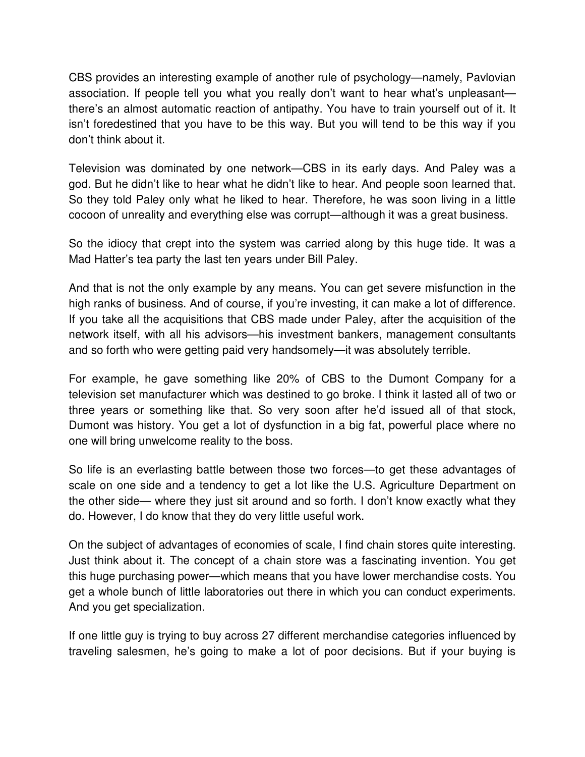CBS provides an interesting example of another rule of psychology—namely, Pavlovian association. If people tell you what you really don't want to hear what's unpleasant there's an almost automatic reaction of antipathy. You have to train yourself out of it. It isn't foredestined that you have to be this way. But you will tend to be this way if you don't think about it.

Television was dominated by one network—CBS in its early days. And Paley was a god. But he didn't like to hear what he didn't like to hear. And people soon learned that. So they told Paley only what he liked to hear. Therefore, he was soon living in a little cocoon of unreality and everything else was corrupt—although it was a great business.

So the idiocy that crept into the system was carried along by this huge tide. It was a Mad Hatter's tea party the last ten years under Bill Paley.

And that is not the only example by any means. You can get severe misfunction in the high ranks of business. And of course, if you're investing, it can make a lot of difference. If you take all the acquisitions that CBS made under Paley, after the acquisition of the network itself, with all his advisors—his investment bankers, management consultants and so forth who were getting paid very handsomely—it was absolutely terrible.

For example, he gave something like 20% of CBS to the Dumont Company for a television set manufacturer which was destined to go broke. I think it lasted all of two or three years or something like that. So very soon after he'd issued all of that stock, Dumont was history. You get a lot of dysfunction in a big fat, powerful place where no one will bring unwelcome reality to the boss.

So life is an everlasting battle between those two forces—to get these advantages of scale on one side and a tendency to get a lot like the U.S. Agriculture Department on the other side— where they just sit around and so forth. I don't know exactly what they do. However, I do know that they do very little useful work.

On the subject of advantages of economies of scale, I find chain stores quite interesting. Just think about it. The concept of a chain store was a fascinating invention. You get this huge purchasing power—which means that you have lower merchandise costs. You get a whole bunch of little laboratories out there in which you can conduct experiments. And you get specialization.

If one little guy is trying to buy across 27 different merchandise categories influenced by traveling salesmen, he's going to make a lot of poor decisions. But if your buying is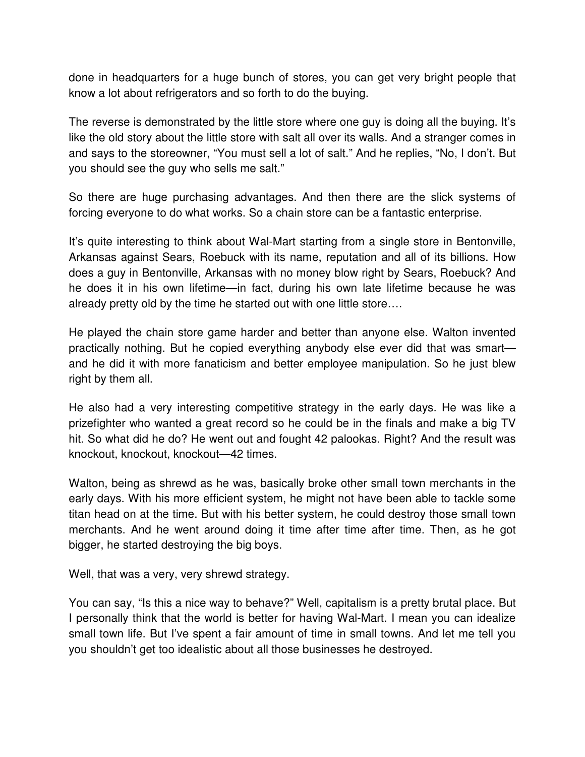done in headquarters for a huge bunch of stores, you can get very bright people that know a lot about refrigerators and so forth to do the buying.

The reverse is demonstrated by the little store where one guy is doing all the buying. It's like the old story about the little store with salt all over its walls. And a stranger comes in and says to the storeowner, "You must sell a lot of salt." And he replies, "No, I don't. But you should see the guy who sells me salt."

So there are huge purchasing advantages. And then there are the slick systems of forcing everyone to do what works. So a chain store can be a fantastic enterprise.

It's quite interesting to think about Wal-Mart starting from a single store in Bentonville, Arkansas against Sears, Roebuck with its name, reputation and all of its billions. How does a guy in Bentonville, Arkansas with no money blow right by Sears, Roebuck? And he does it in his own lifetime—in fact, during his own late lifetime because he was already pretty old by the time he started out with one little store….

He played the chain store game harder and better than anyone else. Walton invented practically nothing. But he copied everything anybody else ever did that was smart and he did it with more fanaticism and better employee manipulation. So he just blew right by them all.

He also had a very interesting competitive strategy in the early days. He was like a prizefighter who wanted a great record so he could be in the finals and make a big TV hit. So what did he do? He went out and fought 42 palookas. Right? And the result was knockout, knockout, knockout—42 times.

Walton, being as shrewd as he was, basically broke other small town merchants in the early days. With his more efficient system, he might not have been able to tackle some titan head on at the time. But with his better system, he could destroy those small town merchants. And he went around doing it time after time after time. Then, as he got bigger, he started destroying the big boys.

Well, that was a very, very shrewd strategy.

You can say, "Is this a nice way to behave?" Well, capitalism is a pretty brutal place. But I personally think that the world is better for having Wal-Mart. I mean you can idealize small town life. But I've spent a fair amount of time in small towns. And let me tell you you shouldn't get too idealistic about all those businesses he destroyed.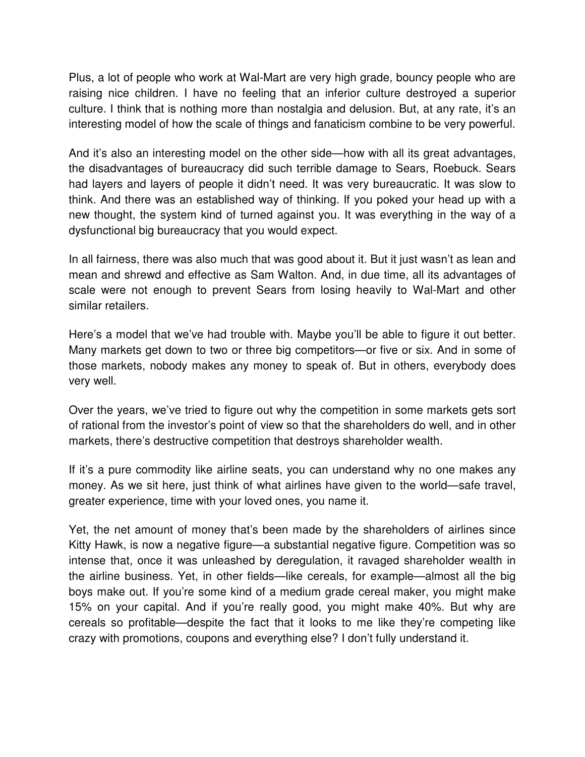Plus, a lot of people who work at Wal-Mart are very high grade, bouncy people who are raising nice children. I have no feeling that an inferior culture destroyed a superior culture. I think that is nothing more than nostalgia and delusion. But, at any rate, it's an interesting model of how the scale of things and fanaticism combine to be very powerful.

And it's also an interesting model on the other side—how with all its great advantages, the disadvantages of bureaucracy did such terrible damage to Sears, Roebuck. Sears had layers and layers of people it didn't need. It was very bureaucratic. It was slow to think. And there was an established way of thinking. If you poked your head up with a new thought, the system kind of turned against you. It was everything in the way of a dysfunctional big bureaucracy that you would expect.

In all fairness, there was also much that was good about it. But it just wasn't as lean and mean and shrewd and effective as Sam Walton. And, in due time, all its advantages of scale were not enough to prevent Sears from losing heavily to Wal-Mart and other similar retailers.

Here's a model that we've had trouble with. Maybe you'll be able to figure it out better. Many markets get down to two or three big competitors—or five or six. And in some of those markets, nobody makes any money to speak of. But in others, everybody does very well.

Over the years, we've tried to figure out why the competition in some markets gets sort of rational from the investor's point of view so that the shareholders do well, and in other markets, there's destructive competition that destroys shareholder wealth.

If it's a pure commodity like airline seats, you can understand why no one makes any money. As we sit here, just think of what airlines have given to the world—safe travel, greater experience, time with your loved ones, you name it.

Yet, the net amount of money that's been made by the shareholders of airlines since Kitty Hawk, is now a negative figure—a substantial negative figure. Competition was so intense that, once it was unleashed by deregulation, it ravaged shareholder wealth in the airline business. Yet, in other fields—like cereals, for example—almost all the big boys make out. If you're some kind of a medium grade cereal maker, you might make 15% on your capital. And if you're really good, you might make 40%. But why are cereals so profitable—despite the fact that it looks to me like they're competing like crazy with promotions, coupons and everything else? I don't fully understand it.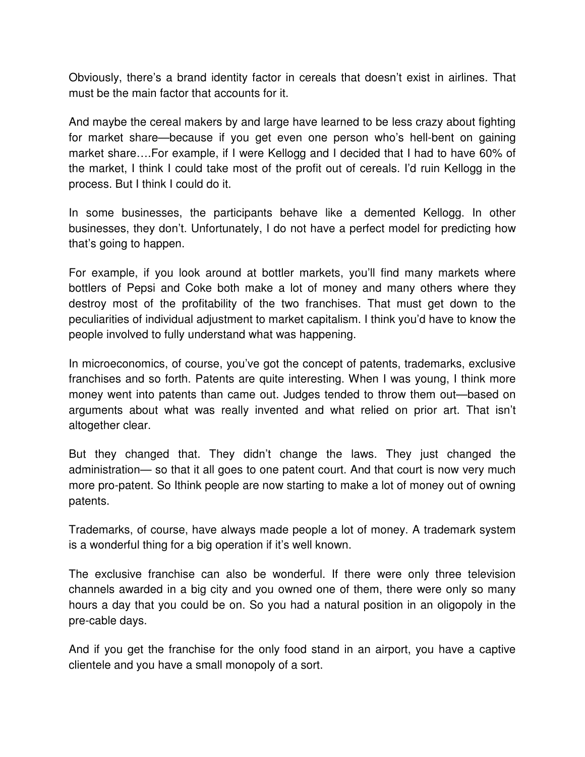Obviously, there's a brand identity factor in cereals that doesn't exist in airlines. That must be the main factor that accounts for it.

And maybe the cereal makers by and large have learned to be less crazy about fighting for market share—because if you get even one person who's hell-bent on gaining market share….For example, if I were Kellogg and I decided that I had to have 60% of the market, I think I could take most of the profit out of cereals. I'd ruin Kellogg in the process. But I think I could do it.

In some businesses, the participants behave like a demented Kellogg. In other businesses, they don't. Unfortunately, I do not have a perfect model for predicting how that's going to happen.

For example, if you look around at bottler markets, you'll find many markets where bottlers of Pepsi and Coke both make a lot of money and many others where they destroy most of the profitability of the two franchises. That must get down to the peculiarities of individual adjustment to market capitalism. I think you'd have to know the people involved to fully understand what was happening.

In microeconomics, of course, you've got the concept of patents, trademarks, exclusive franchises and so forth. Patents are quite interesting. When I was young, I think more money went into patents than came out. Judges tended to throw them out—based on arguments about what was really invented and what relied on prior art. That isn't altogether clear.

But they changed that. They didn't change the laws. They just changed the administration— so that it all goes to one patent court. And that court is now very much more pro-patent. So Ithink people are now starting to make a lot of money out of owning patents.

Trademarks, of course, have always made people a lot of money. A trademark system is a wonderful thing for a big operation if it's well known.

The exclusive franchise can also be wonderful. If there were only three television channels awarded in a big city and you owned one of them, there were only so many hours a day that you could be on. So you had a natural position in an oligopoly in the pre-cable days.

And if you get the franchise for the only food stand in an airport, you have a captive clientele and you have a small monopoly of a sort.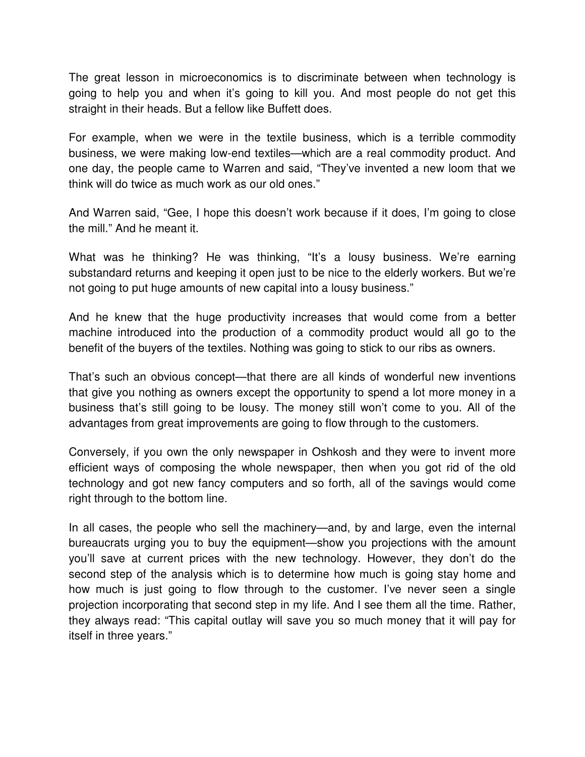The great lesson in microeconomics is to discriminate between when technology is going to help you and when it's going to kill you. And most people do not get this straight in their heads. But a fellow like Buffett does.

For example, when we were in the textile business, which is a terrible commodity business, we were making low-end textiles—which are a real commodity product. And one day, the people came to Warren and said, "They've invented a new loom that we think will do twice as much work as our old ones."

And Warren said, "Gee, I hope this doesn't work because if it does, I'm going to close the mill." And he meant it.

What was he thinking? He was thinking, "It's a lousy business. We're earning substandard returns and keeping it open just to be nice to the elderly workers. But we're not going to put huge amounts of new capital into a lousy business."

And he knew that the huge productivity increases that would come from a better machine introduced into the production of a commodity product would all go to the benefit of the buyers of the textiles. Nothing was going to stick to our ribs as owners.

That's such an obvious concept—that there are all kinds of wonderful new inventions that give you nothing as owners except the opportunity to spend a lot more money in a business that's still going to be lousy. The money still won't come to you. All of the advantages from great improvements are going to flow through to the customers.

Conversely, if you own the only newspaper in Oshkosh and they were to invent more efficient ways of composing the whole newspaper, then when you got rid of the old technology and got new fancy computers and so forth, all of the savings would come right through to the bottom line.

In all cases, the people who sell the machinery—and, by and large, even the internal bureaucrats urging you to buy the equipment—show you projections with the amount you'll save at current prices with the new technology. However, they don't do the second step of the analysis which is to determine how much is going stay home and how much is just going to flow through to the customer. I've never seen a single projection incorporating that second step in my life. And I see them all the time. Rather, they always read: "This capital outlay will save you so much money that it will pay for itself in three years."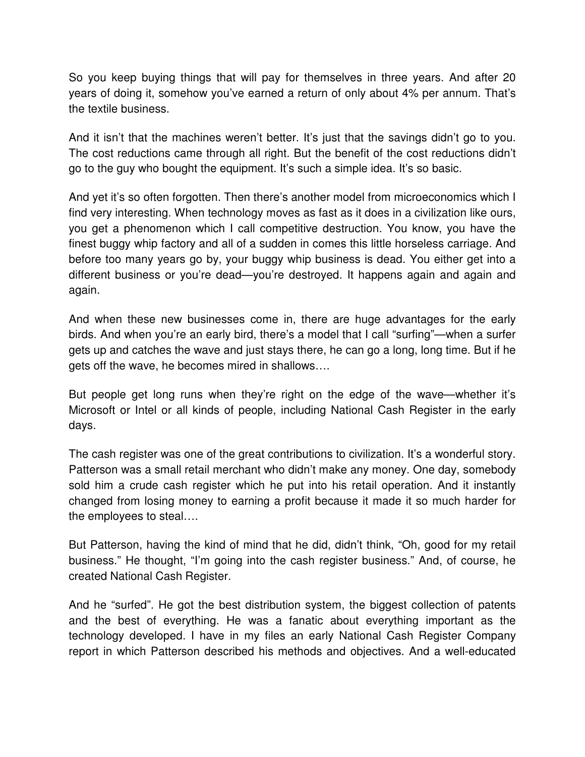So you keep buying things that will pay for themselves in three years. And after 20 years of doing it, somehow you've earned a return of only about 4% per annum. That's the textile business.

And it isn't that the machines weren't better. It's just that the savings didn't go to you. The cost reductions came through all right. But the benefit of the cost reductions didn't go to the guy who bought the equipment. It's such a simple idea. It's so basic.

And yet it's so often forgotten. Then there's another model from microeconomics which I find very interesting. When technology moves as fast as it does in a civilization like ours, you get a phenomenon which I call competitive destruction. You know, you have the finest buggy whip factory and all of a sudden in comes this little horseless carriage. And before too many years go by, your buggy whip business is dead. You either get into a different business or you're dead—you're destroyed. It happens again and again and again.

And when these new businesses come in, there are huge advantages for the early birds. And when you're an early bird, there's a model that I call "surfing"—when a surfer gets up and catches the wave and just stays there, he can go a long, long time. But if he gets off the wave, he becomes mired in shallows….

But people get long runs when they're right on the edge of the wave—whether it's Microsoft or Intel or all kinds of people, including National Cash Register in the early days.

The cash register was one of the great contributions to civilization. It's a wonderful story. Patterson was a small retail merchant who didn't make any money. One day, somebody sold him a crude cash register which he put into his retail operation. And it instantly changed from losing money to earning a profit because it made it so much harder for the employees to steal….

But Patterson, having the kind of mind that he did, didn't think, "Oh, good for my retail business." He thought, "I'm going into the cash register business." And, of course, he created National Cash Register.

And he "surfed". He got the best distribution system, the biggest collection of patents and the best of everything. He was a fanatic about everything important as the technology developed. I have in my files an early National Cash Register Company report in which Patterson described his methods and objectives. And a well-educated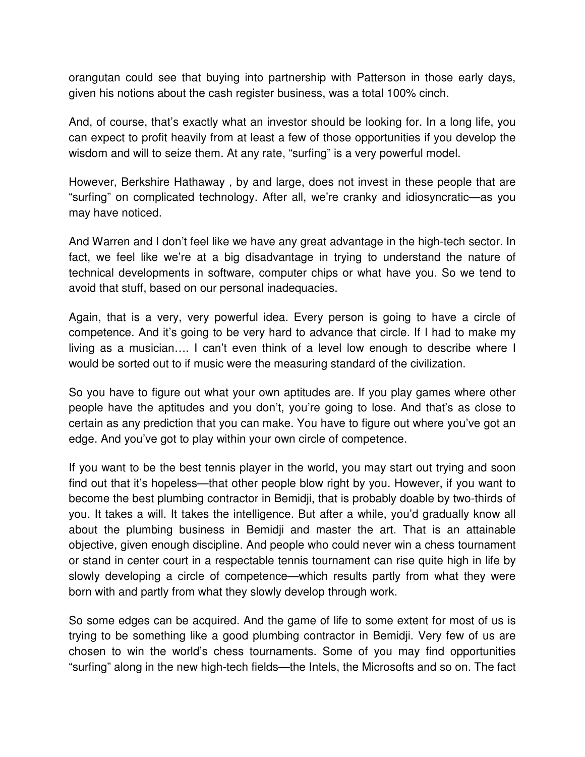orangutan could see that buying into partnership with Patterson in those early days, given his notions about the cash register business, was a total 100% cinch.

And, of course, that's exactly what an investor should be looking for. In a long life, you can expect to profit heavily from at least a few of those opportunities if you develop the wisdom and will to seize them. At any rate, "surfing" is a very powerful model.

However, Berkshire Hathaway , by and large, does not invest in these people that are "surfing" on complicated technology. After all, we're cranky and idiosyncratic—as you may have noticed.

And Warren and I don't feel like we have any great advantage in the high-tech sector. In fact, we feel like we're at a big disadvantage in trying to understand the nature of technical developments in software, computer chips or what have you. So we tend to avoid that stuff, based on our personal inadequacies.

Again, that is a very, very powerful idea. Every person is going to have a circle of competence. And it's going to be very hard to advance that circle. If I had to make my living as a musician…. I can't even think of a level low enough to describe where I would be sorted out to if music were the measuring standard of the civilization.

So you have to figure out what your own aptitudes are. If you play games where other people have the aptitudes and you don't, you're going to lose. And that's as close to certain as any prediction that you can make. You have to figure out where you've got an edge. And you've got to play within your own circle of competence.

If you want to be the best tennis player in the world, you may start out trying and soon find out that it's hopeless—that other people blow right by you. However, if you want to become the best plumbing contractor in Bemidji, that is probably doable by two-thirds of you. It takes a will. It takes the intelligence. But after a while, you'd gradually know all about the plumbing business in Bemidji and master the art. That is an attainable objective, given enough discipline. And people who could never win a chess tournament or stand in center court in a respectable tennis tournament can rise quite high in life by slowly developing a circle of competence—which results partly from what they were born with and partly from what they slowly develop through work.

So some edges can be acquired. And the game of life to some extent for most of us is trying to be something like a good plumbing contractor in Bemidji. Very few of us are chosen to win the world's chess tournaments. Some of you may find opportunities "surfing" along in the new high-tech fields—the Intels, the Microsofts and so on. The fact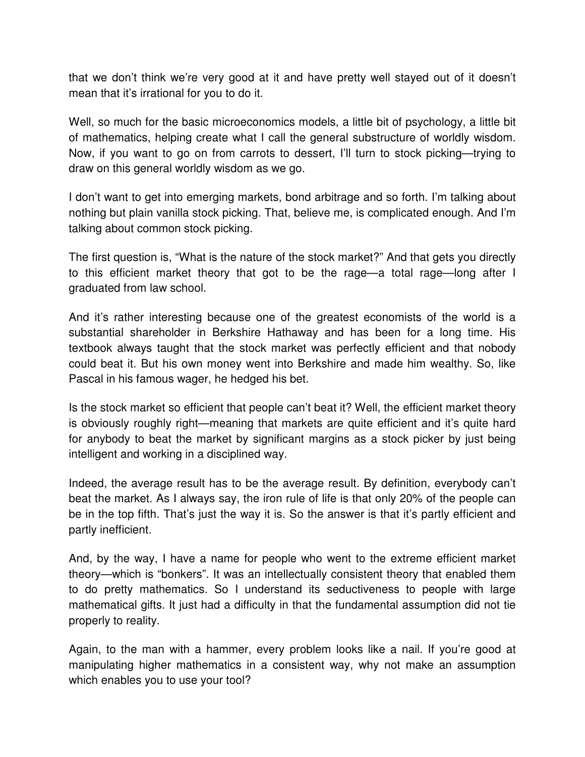that we don't think we're very good at it and have pretty well stayed out of it doesn't mean that it's irrational for you to do it.

Well, so much for the basic microeconomics models, a little bit of psychology, a little bit of mathematics, helping create what I call the general substructure of worldly wisdom. Now, if you want to go on from carrots to dessert, I'll turn to stock picking—trying to draw on this general worldly wisdom as we go.

I don't want to get into emerging markets, bond arbitrage and so forth. I'm talking about nothing but plain vanilla stock picking. That, believe me, is complicated enough. And I'm talking about common stock picking.

The first question is, "What is the nature of the stock market?" And that gets you directly to this efficient market theory that got to be the rage—a total rage—long after I graduated from law school.

And it's rather interesting because one of the greatest economists of the world is a substantial shareholder in Berkshire Hathaway and has been for a long time. His textbook always taught that the stock market was perfectly efficient and that nobody could beat it. But his own money went into Berkshire and made him wealthy. So, like Pascal in his famous wager, he hedged his bet.

Is the stock market so efficient that people can't beat it? Well, the efficient market theory is obviously roughly right—meaning that markets are quite efficient and it's quite hard for anybody to beat the market by significant margins as a stock picker by just being intelligent and working in a disciplined way.

Indeed, the average result has to be the average result. By definition, everybody can't beat the market. As I always say, the iron rule of life is that only 20% of the people can be in the top fifth. That's just the way it is. So the answer is that it's partly efficient and partly inefficient.

And, by the way, I have a name for people who went to the extreme efficient market theory—which is "bonkers". It was an intellectually consistent theory that enabled them to do pretty mathematics. So I understand its seductiveness to people with large mathematical gifts. It just had a difficulty in that the fundamental assumption did not tie properly to reality.

Again, to the man with a hammer, every problem looks like a nail. If you're good at manipulating higher mathematics in a consistent way, why not make an assumption which enables you to use your tool?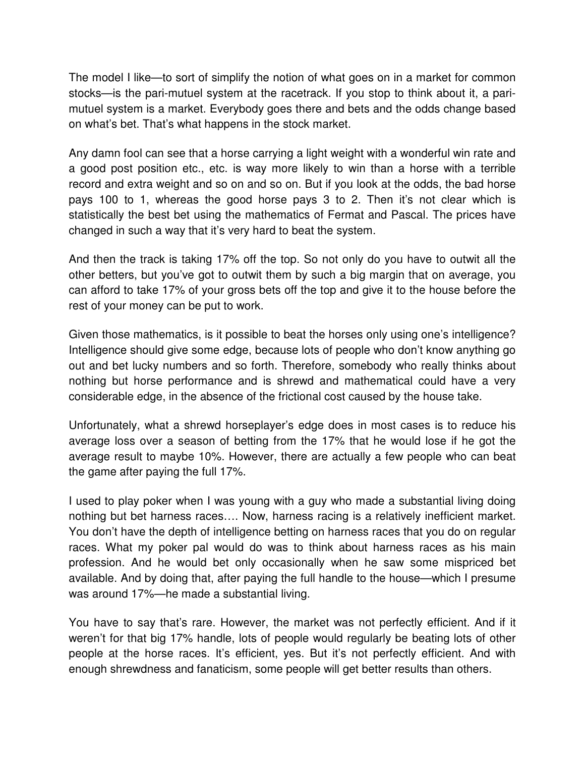The model I like—to sort of simplify the notion of what goes on in a market for common stocks—is the pari-mutuel system at the racetrack. If you stop to think about it, a parimutuel system is a market. Everybody goes there and bets and the odds change based on what's bet. That's what happens in the stock market.

Any damn fool can see that a horse carrying a light weight with a wonderful win rate and a good post position etc., etc. is way more likely to win than a horse with a terrible record and extra weight and so on and so on. But if you look at the odds, the bad horse pays 100 to 1, whereas the good horse pays 3 to 2. Then it's not clear which is statistically the best bet using the mathematics of Fermat and Pascal. The prices have changed in such a way that it's very hard to beat the system.

And then the track is taking 17% off the top. So not only do you have to outwit all the other betters, but you've got to outwit them by such a big margin that on average, you can afford to take 17% of your gross bets off the top and give it to the house before the rest of your money can be put to work.

Given those mathematics, is it possible to beat the horses only using one's intelligence? Intelligence should give some edge, because lots of people who don't know anything go out and bet lucky numbers and so forth. Therefore, somebody who really thinks about nothing but horse performance and is shrewd and mathematical could have a very considerable edge, in the absence of the frictional cost caused by the house take.

Unfortunately, what a shrewd horseplayer's edge does in most cases is to reduce his average loss over a season of betting from the 17% that he would lose if he got the average result to maybe 10%. However, there are actually a few people who can beat the game after paying the full 17%.

I used to play poker when I was young with a guy who made a substantial living doing nothing but bet harness races…. Now, harness racing is a relatively inefficient market. You don't have the depth of intelligence betting on harness races that you do on regular races. What my poker pal would do was to think about harness races as his main profession. And he would bet only occasionally when he saw some mispriced bet available. And by doing that, after paying the full handle to the house—which I presume was around 17%—he made a substantial living.

You have to say that's rare. However, the market was not perfectly efficient. And if it weren't for that big 17% handle, lots of people would regularly be beating lots of other people at the horse races. It's efficient, yes. But it's not perfectly efficient. And with enough shrewdness and fanaticism, some people will get better results than others.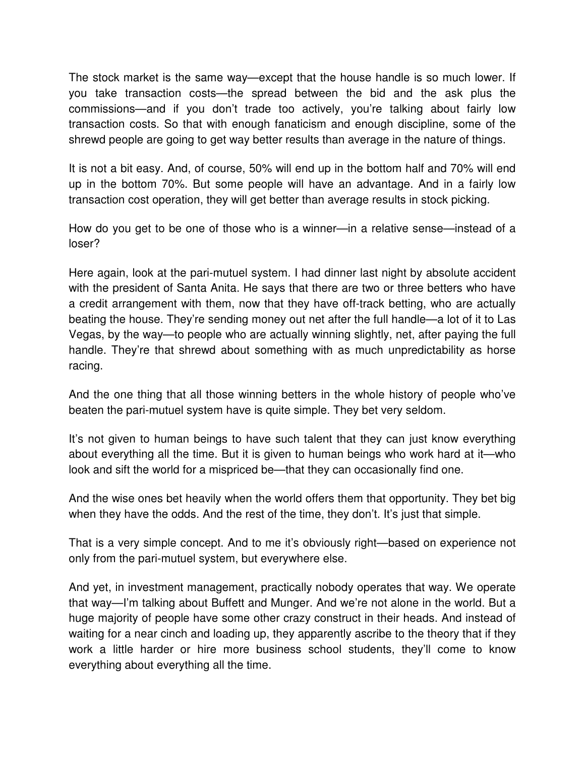The stock market is the same way—except that the house handle is so much lower. If you take transaction costs—the spread between the bid and the ask plus the commissions—and if you don't trade too actively, you're talking about fairly low transaction costs. So that with enough fanaticism and enough discipline, some of the shrewd people are going to get way better results than average in the nature of things.

It is not a bit easy. And, of course, 50% will end up in the bottom half and 70% will end up in the bottom 70%. But some people will have an advantage. And in a fairly low transaction cost operation, they will get better than average results in stock picking.

How do you get to be one of those who is a winner—in a relative sense—instead of a loser?

Here again, look at the pari-mutuel system. I had dinner last night by absolute accident with the president of Santa Anita. He says that there are two or three betters who have a credit arrangement with them, now that they have off-track betting, who are actually beating the house. They're sending money out net after the full handle—a lot of it to Las Vegas, by the way—to people who are actually winning slightly, net, after paying the full handle. They're that shrewd about something with as much unpredictability as horse racing.

And the one thing that all those winning betters in the whole history of people who've beaten the pari-mutuel system have is quite simple. They bet very seldom.

It's not given to human beings to have such talent that they can just know everything about everything all the time. But it is given to human beings who work hard at it—who look and sift the world for a mispriced be—that they can occasionally find one.

And the wise ones bet heavily when the world offers them that opportunity. They bet big when they have the odds. And the rest of the time, they don't. It's just that simple.

That is a very simple concept. And to me it's obviously right—based on experience not only from the pari-mutuel system, but everywhere else.

And yet, in investment management, practically nobody operates that way. We operate that way—I'm talking about Buffett and Munger. And we're not alone in the world. But a huge majority of people have some other crazy construct in their heads. And instead of waiting for a near cinch and loading up, they apparently ascribe to the theory that if they work a little harder or hire more business school students, they'll come to know everything about everything all the time.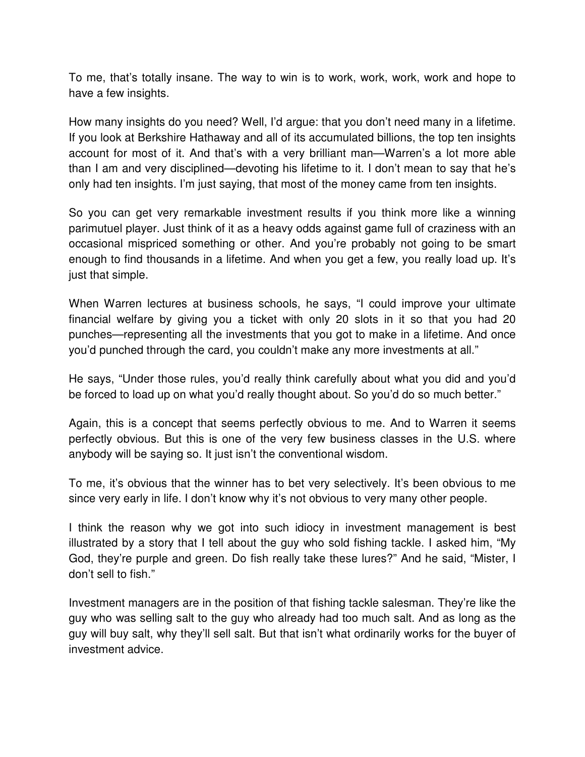To me, that's totally insane. The way to win is to work, work, work, work and hope to have a few insights.

How many insights do you need? Well, I'd argue: that you don't need many in a lifetime. If you look at Berkshire Hathaway and all of its accumulated billions, the top ten insights account for most of it. And that's with a very brilliant man—Warren's a lot more able than I am and very disciplined—devoting his lifetime to it. I don't mean to say that he's only had ten insights. I'm just saying, that most of the money came from ten insights.

So you can get very remarkable investment results if you think more like a winning parimutuel player. Just think of it as a heavy odds against game full of craziness with an occasional mispriced something or other. And you're probably not going to be smart enough to find thousands in a lifetime. And when you get a few, you really load up. It's just that simple.

When Warren lectures at business schools, he says, "I could improve your ultimate financial welfare by giving you a ticket with only 20 slots in it so that you had 20 punches—representing all the investments that you got to make in a lifetime. And once you'd punched through the card, you couldn't make any more investments at all."

He says, "Under those rules, you'd really think carefully about what you did and you'd be forced to load up on what you'd really thought about. So you'd do so much better."

Again, this is a concept that seems perfectly obvious to me. And to Warren it seems perfectly obvious. But this is one of the very few business classes in the U.S. where anybody will be saying so. It just isn't the conventional wisdom.

To me, it's obvious that the winner has to bet very selectively. It's been obvious to me since very early in life. I don't know why it's not obvious to very many other people.

I think the reason why we got into such idiocy in investment management is best illustrated by a story that I tell about the guy who sold fishing tackle. I asked him, "My God, they're purple and green. Do fish really take these lures?" And he said, "Mister, I don't sell to fish."

Investment managers are in the position of that fishing tackle salesman. They're like the guy who was selling salt to the guy who already had too much salt. And as long as the guy will buy salt, why they'll sell salt. But that isn't what ordinarily works for the buyer of investment advice.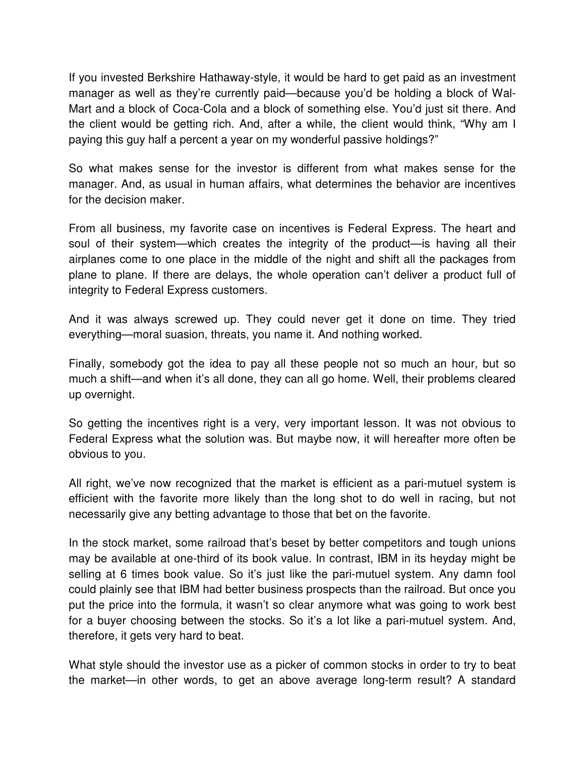If you invested Berkshire Hathaway-style, it would be hard to get paid as an investment manager as well as they're currently paid—because you'd be holding a block of Wal-Mart and a block of Coca-Cola and a block of something else. You'd just sit there. And the client would be getting rich. And, after a while, the client would think, "Why am I paying this guy half a percent a year on my wonderful passive holdings?"

So what makes sense for the investor is different from what makes sense for the manager. And, as usual in human affairs, what determines the behavior are incentives for the decision maker.

From all business, my favorite case on incentives is Federal Express. The heart and soul of their system—which creates the integrity of the product—is having all their airplanes come to one place in the middle of the night and shift all the packages from plane to plane. If there are delays, the whole operation can't deliver a product full of integrity to Federal Express customers.

And it was always screwed up. They could never get it done on time. They tried everything—moral suasion, threats, you name it. And nothing worked.

Finally, somebody got the idea to pay all these people not so much an hour, but so much a shift—and when it's all done, they can all go home. Well, their problems cleared up overnight.

So getting the incentives right is a very, very important lesson. It was not obvious to Federal Express what the solution was. But maybe now, it will hereafter more often be obvious to you.

All right, we've now recognized that the market is efficient as a pari-mutuel system is efficient with the favorite more likely than the long shot to do well in racing, but not necessarily give any betting advantage to those that bet on the favorite.

In the stock market, some railroad that's beset by better competitors and tough unions may be available at one-third of its book value. In contrast, IBM in its heyday might be selling at 6 times book value. So it's just like the pari-mutuel system. Any damn fool could plainly see that IBM had better business prospects than the railroad. But once you put the price into the formula, it wasn't so clear anymore what was going to work best for a buyer choosing between the stocks. So it's a lot like a pari-mutuel system. And, therefore, it gets very hard to beat.

What style should the investor use as a picker of common stocks in order to try to beat the market—in other words, to get an above average long-term result? A standard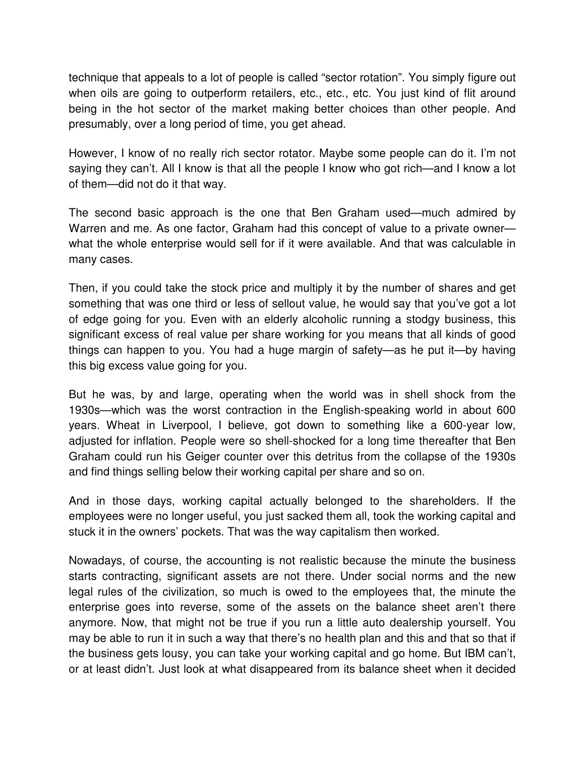technique that appeals to a lot of people is called "sector rotation". You simply figure out when oils are going to outperform retailers, etc., etc., etc. You just kind of flit around being in the hot sector of the market making better choices than other people. And presumably, over a long period of time, you get ahead.

However, I know of no really rich sector rotator. Maybe some people can do it. I'm not saying they can't. All I know is that all the people I know who got rich—and I know a lot of them—did not do it that way.

The second basic approach is the one that Ben Graham used—much admired by Warren and me. As one factor, Graham had this concept of value to a private owner what the whole enterprise would sell for if it were available. And that was calculable in many cases.

Then, if you could take the stock price and multiply it by the number of shares and get something that was one third or less of sellout value, he would say that you've got a lot of edge going for you. Even with an elderly alcoholic running a stodgy business, this significant excess of real value per share working for you means that all kinds of good things can happen to you. You had a huge margin of safety—as he put it—by having this big excess value going for you.

But he was, by and large, operating when the world was in shell shock from the 1930s—which was the worst contraction in the English-speaking world in about 600 years. Wheat in Liverpool, I believe, got down to something like a 600-year low, adjusted for inflation. People were so shell-shocked for a long time thereafter that Ben Graham could run his Geiger counter over this detritus from the collapse of the 1930s and find things selling below their working capital per share and so on.

And in those days, working capital actually belonged to the shareholders. If the employees were no longer useful, you just sacked them all, took the working capital and stuck it in the owners' pockets. That was the way capitalism then worked.

Nowadays, of course, the accounting is not realistic because the minute the business starts contracting, significant assets are not there. Under social norms and the new legal rules of the civilization, so much is owed to the employees that, the minute the enterprise goes into reverse, some of the assets on the balance sheet aren't there anymore. Now, that might not be true if you run a little auto dealership yourself. You may be able to run it in such a way that there's no health plan and this and that so that if the business gets lousy, you can take your working capital and go home. But IBM can't, or at least didn't. Just look at what disappeared from its balance sheet when it decided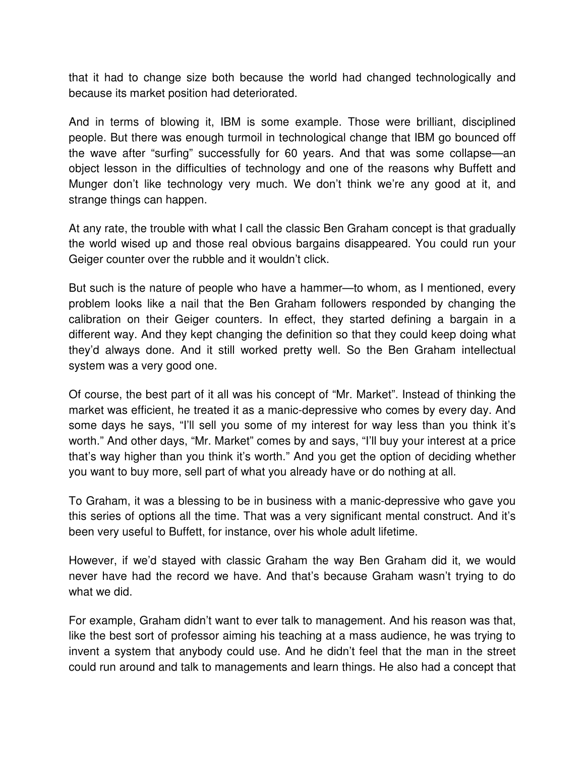that it had to change size both because the world had changed technologically and because its market position had deteriorated.

And in terms of blowing it, IBM is some example. Those were brilliant, disciplined people. But there was enough turmoil in technological change that IBM go bounced off the wave after "surfing" successfully for 60 years. And that was some collapse—an object lesson in the difficulties of technology and one of the reasons why Buffett and Munger don't like technology very much. We don't think we're any good at it, and strange things can happen.

At any rate, the trouble with what I call the classic Ben Graham concept is that gradually the world wised up and those real obvious bargains disappeared. You could run your Geiger counter over the rubble and it wouldn't click.

But such is the nature of people who have a hammer—to whom, as I mentioned, every problem looks like a nail that the Ben Graham followers responded by changing the calibration on their Geiger counters. In effect, they started defining a bargain in a different way. And they kept changing the definition so that they could keep doing what they'd always done. And it still worked pretty well. So the Ben Graham intellectual system was a very good one.

Of course, the best part of it all was his concept of "Mr. Market". Instead of thinking the market was efficient, he treated it as a manic-depressive who comes by every day. And some days he says, "I'll sell you some of my interest for way less than you think it's worth." And other days, "Mr. Market" comes by and says, "I'll buy your interest at a price that's way higher than you think it's worth." And you get the option of deciding whether you want to buy more, sell part of what you already have or do nothing at all.

To Graham, it was a blessing to be in business with a manic-depressive who gave you this series of options all the time. That was a very significant mental construct. And it's been very useful to Buffett, for instance, over his whole adult lifetime.

However, if we'd stayed with classic Graham the way Ben Graham did it, we would never have had the record we have. And that's because Graham wasn't trying to do what we did.

For example, Graham didn't want to ever talk to management. And his reason was that, like the best sort of professor aiming his teaching at a mass audience, he was trying to invent a system that anybody could use. And he didn't feel that the man in the street could run around and talk to managements and learn things. He also had a concept that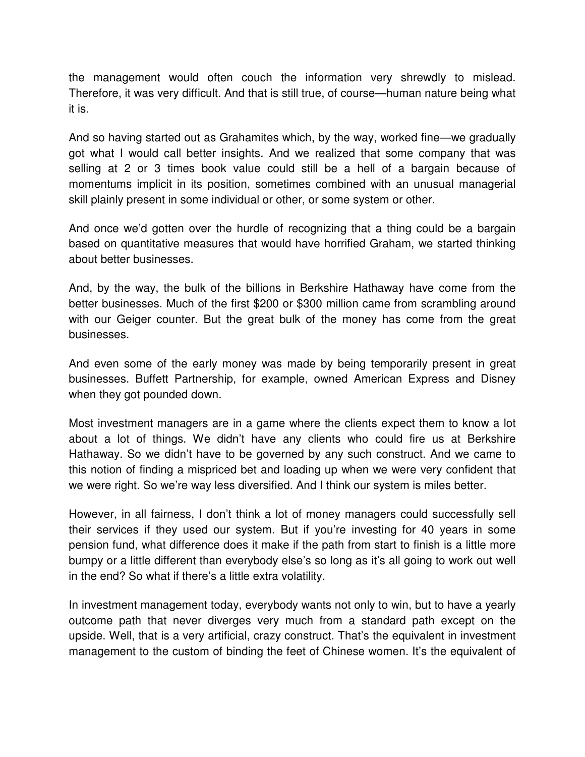the management would often couch the information very shrewdly to mislead. Therefore, it was very difficult. And that is still true, of course—human nature being what it is.

And so having started out as Grahamites which, by the way, worked fine—we gradually got what I would call better insights. And we realized that some company that was selling at 2 or 3 times book value could still be a hell of a bargain because of momentums implicit in its position, sometimes combined with an unusual managerial skill plainly present in some individual or other, or some system or other.

And once we'd gotten over the hurdle of recognizing that a thing could be a bargain based on quantitative measures that would have horrified Graham, we started thinking about better businesses.

And, by the way, the bulk of the billions in Berkshire Hathaway have come from the better businesses. Much of the first \$200 or \$300 million came from scrambling around with our Geiger counter. But the great bulk of the money has come from the great businesses.

And even some of the early money was made by being temporarily present in great businesses. Buffett Partnership, for example, owned American Express and Disney when they got pounded down.

Most investment managers are in a game where the clients expect them to know a lot about a lot of things. We didn't have any clients who could fire us at Berkshire Hathaway. So we didn't have to be governed by any such construct. And we came to this notion of finding a mispriced bet and loading up when we were very confident that we were right. So we're way less diversified. And I think our system is miles better.

However, in all fairness, I don't think a lot of money managers could successfully sell their services if they used our system. But if you're investing for 40 years in some pension fund, what difference does it make if the path from start to finish is a little more bumpy or a little different than everybody else's so long as it's all going to work out well in the end? So what if there's a little extra volatility.

In investment management today, everybody wants not only to win, but to have a yearly outcome path that never diverges very much from a standard path except on the upside. Well, that is a very artificial, crazy construct. That's the equivalent in investment management to the custom of binding the feet of Chinese women. It's the equivalent of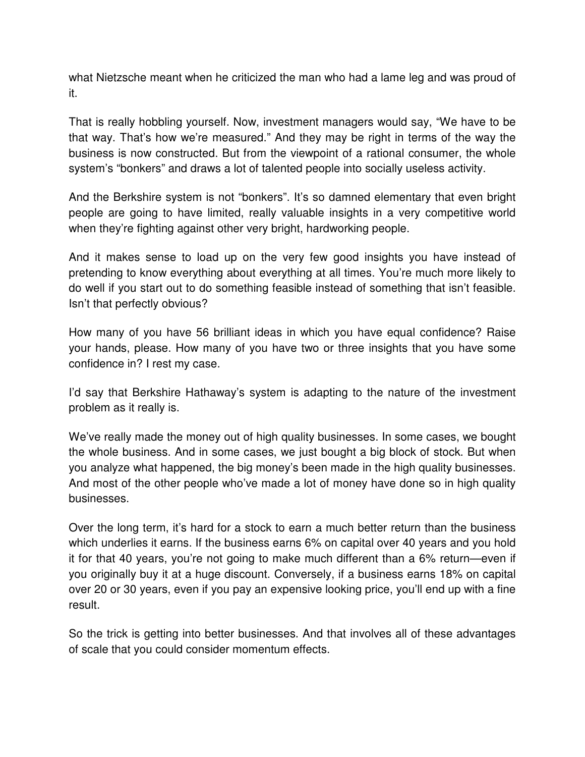what Nietzsche meant when he criticized the man who had a lame leg and was proud of it.

That is really hobbling yourself. Now, investment managers would say, "We have to be that way. That's how we're measured." And they may be right in terms of the way the business is now constructed. But from the viewpoint of a rational consumer, the whole system's "bonkers" and draws a lot of talented people into socially useless activity.

And the Berkshire system is not "bonkers". It's so damned elementary that even bright people are going to have limited, really valuable insights in a very competitive world when they're fighting against other very bright, hardworking people.

And it makes sense to load up on the very few good insights you have instead of pretending to know everything about everything at all times. You're much more likely to do well if you start out to do something feasible instead of something that isn't feasible. Isn't that perfectly obvious?

How many of you have 56 brilliant ideas in which you have equal confidence? Raise your hands, please. How many of you have two or three insights that you have some confidence in? I rest my case.

I'd say that Berkshire Hathaway's system is adapting to the nature of the investment problem as it really is.

We've really made the money out of high quality businesses. In some cases, we bought the whole business. And in some cases, we just bought a big block of stock. But when you analyze what happened, the big money's been made in the high quality businesses. And most of the other people who've made a lot of money have done so in high quality businesses.

Over the long term, it's hard for a stock to earn a much better return than the business which underlies it earns. If the business earns 6% on capital over 40 years and you hold it for that 40 years, you're not going to make much different than a 6% return—even if you originally buy it at a huge discount. Conversely, if a business earns 18% on capital over 20 or 30 years, even if you pay an expensive looking price, you'll end up with a fine result.

So the trick is getting into better businesses. And that involves all of these advantages of scale that you could consider momentum effects.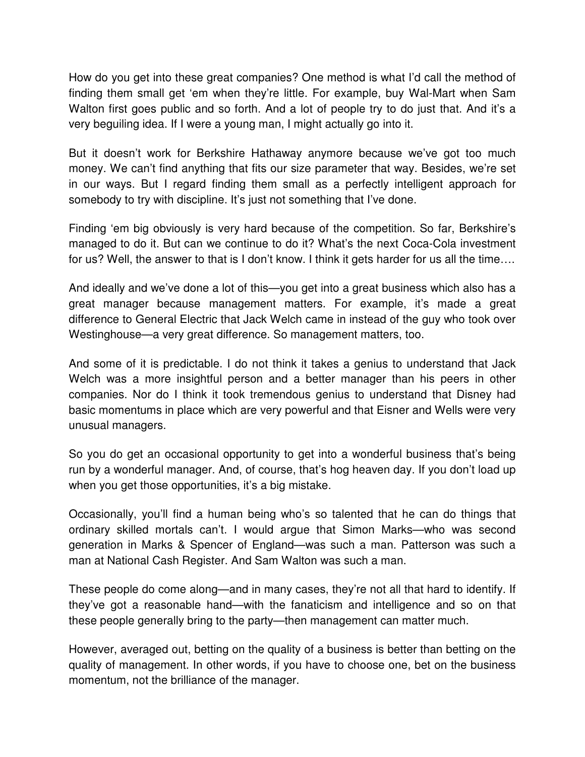How do you get into these great companies? One method is what I'd call the method of finding them small get 'em when they're little. For example, buy Wal-Mart when Sam Walton first goes public and so forth. And a lot of people try to do just that. And it's a very beguiling idea. If I were a young man, I might actually go into it.

But it doesn't work for Berkshire Hathaway anymore because we've got too much money. We can't find anything that fits our size parameter that way. Besides, we're set in our ways. But I regard finding them small as a perfectly intelligent approach for somebody to try with discipline. It's just not something that I've done.

Finding 'em big obviously is very hard because of the competition. So far, Berkshire's managed to do it. But can we continue to do it? What's the next Coca-Cola investment for us? Well, the answer to that is I don't know. I think it gets harder for us all the time….

And ideally and we've done a lot of this—you get into a great business which also has a great manager because management matters. For example, it's made a great difference to General Electric that Jack Welch came in instead of the guy who took over Westinghouse—a very great difference. So management matters, too.

And some of it is predictable. I do not think it takes a genius to understand that Jack Welch was a more insightful person and a better manager than his peers in other companies. Nor do I think it took tremendous genius to understand that Disney had basic momentums in place which are very powerful and that Eisner and Wells were very unusual managers.

So you do get an occasional opportunity to get into a wonderful business that's being run by a wonderful manager. And, of course, that's hog heaven day. If you don't load up when you get those opportunities, it's a big mistake.

Occasionally, you'll find a human being who's so talented that he can do things that ordinary skilled mortals can't. I would argue that Simon Marks—who was second generation in Marks & Spencer of England—was such a man. Patterson was such a man at National Cash Register. And Sam Walton was such a man.

These people do come along—and in many cases, they're not all that hard to identify. If they've got a reasonable hand—with the fanaticism and intelligence and so on that these people generally bring to the party—then management can matter much.

However, averaged out, betting on the quality of a business is better than betting on the quality of management. In other words, if you have to choose one, bet on the business momentum, not the brilliance of the manager.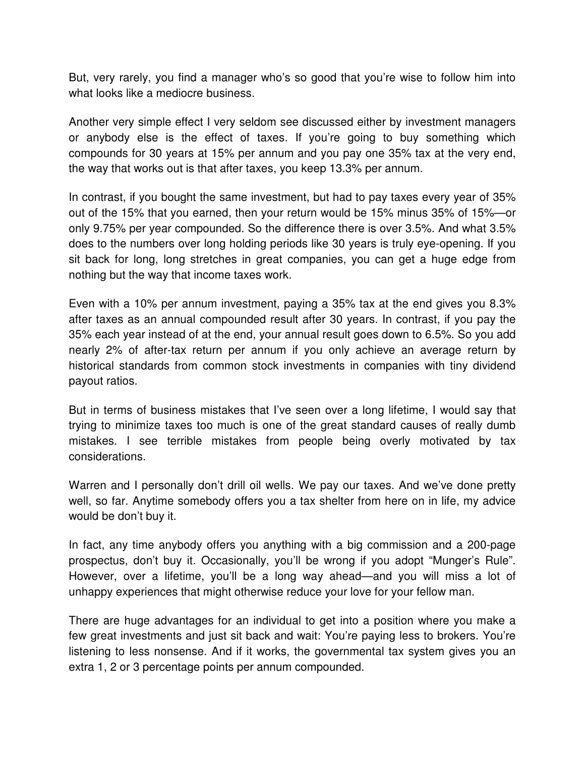But, very rarely, you find a manager who's so good that you're wise to follow him into what looks like a mediocre business.

Another very simple effect I very seldom see discussed either by investment managers or anybody else is the effect of taxes. If you're going to buy something which compounds for 30 years at 15% per annum and you pay one 35% tax at the very end, the way that works out is that after taxes, you keep 13.3% per annum.

In contrast, if you bought the same investment, but had to pay taxes every year of 35% out of the 15% that you earned, then your return would be 15% minus 35% of 15%—or only 9.75% per year compounded. So the difference there is over 3.5%. And what 3.5% does to the numbers over long holding periods like 30 years is truly eye-opening. If you sit back for long, long stretches in great companies, you can get a huge edge from nothing but the way that income taxes work.

Even with a 10% per annum investment, paying a 35% tax at the end gives you 8.3% after taxes as an annual compounded result after 30 years. In contrast, if you pay the 35% each year instead of at the end, your annual result goes down to 6.5%. So you add nearly 2% of after-tax return per annum if you only achieve an average return by historical standards from common stock investments in companies with tiny dividend payout ratios.

But in terms of business mistakes that I've seen over a long lifetime, I would say that trying to minimize taxes too much is one of the great standard causes of really dumb mistakes. I see terrible mistakes from people being overly motivated by tax considerations.

Warren and I personally don't drill oil wells. We pay our taxes. And we've done pretty well, so far. Anytime somebody offers you a tax shelter from here on in life, my advice would be don't buy it.

In fact, any time anybody offers you anything with a big commission and a 200-page prospectus, don't buy it. Occasionally, you'll be wrong if you adopt "Munger's Rule". However, over a lifetime, you'll be a long way ahead—and you will miss a lot of unhappy experiences that might otherwise reduce your love for your fellow man.

There are huge advantages for an individual to get into a position where you make a few great investments and just sit back and wait: You're paying less to brokers. You're listening to less nonsense. And if it works, the governmental tax system gives you an extra 1, 2 or 3 percentage points per annum compounded.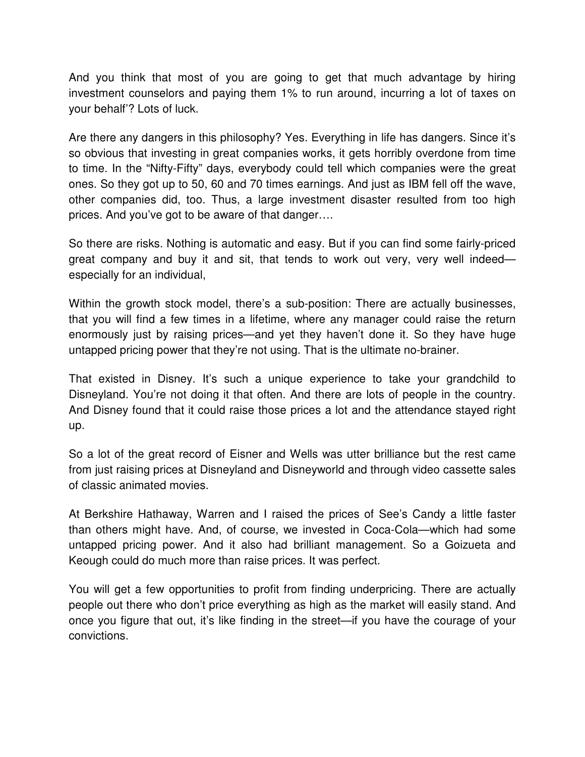And you think that most of you are going to get that much advantage by hiring investment counselors and paying them 1% to run around, incurring a lot of taxes on your behalf'? Lots of luck.

Are there any dangers in this philosophy? Yes. Everything in life has dangers. Since it's so obvious that investing in great companies works, it gets horribly overdone from time to time. In the "Nifty-Fifty" days, everybody could tell which companies were the great ones. So they got up to 50, 60 and 70 times earnings. And just as IBM fell off the wave, other companies did, too. Thus, a large investment disaster resulted from too high prices. And you've got to be aware of that danger….

So there are risks. Nothing is automatic and easy. But if you can find some fairly-priced great company and buy it and sit, that tends to work out very, very well indeed especially for an individual,

Within the growth stock model, there's a sub-position: There are actually businesses, that you will find a few times in a lifetime, where any manager could raise the return enormously just by raising prices—and yet they haven't done it. So they have huge untapped pricing power that they're not using. That is the ultimate no-brainer.

That existed in Disney. It's such a unique experience to take your grandchild to Disneyland. You're not doing it that often. And there are lots of people in the country. And Disney found that it could raise those prices a lot and the attendance stayed right up.

So a lot of the great record of Eisner and Wells was utter brilliance but the rest came from just raising prices at Disneyland and Disneyworld and through video cassette sales of classic animated movies.

At Berkshire Hathaway, Warren and I raised the prices of See's Candy a little faster than others might have. And, of course, we invested in Coca-Cola—which had some untapped pricing power. And it also had brilliant management. So a Goizueta and Keough could do much more than raise prices. It was perfect.

You will get a few opportunities to profit from finding underpricing. There are actually people out there who don't price everything as high as the market will easily stand. And once you figure that out, it's like finding in the street—if you have the courage of your convictions.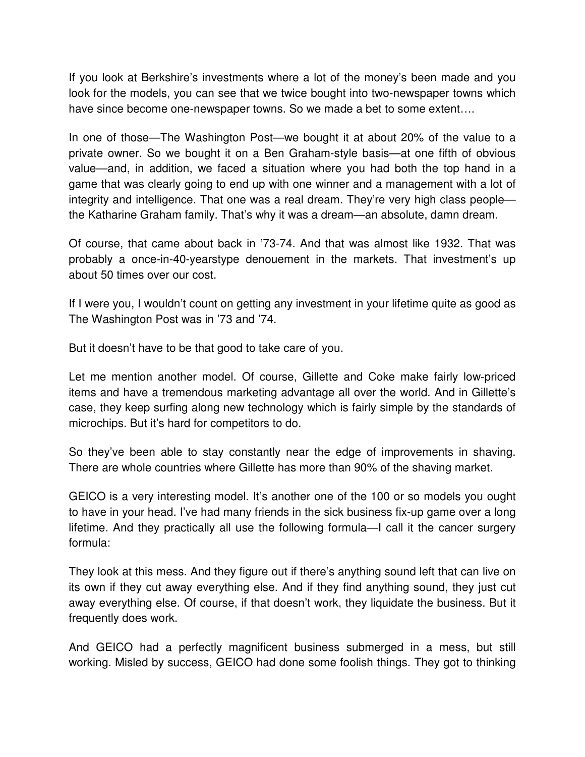If you look at Berkshire's investments where a lot of the money's been made and you look for the models, you can see that we twice bought into two-newspaper towns which have since become one-newspaper towns. So we made a bet to some extent….

In one of those—The Washington Post—we bought it at about 20% of the value to a private owner. So we bought it on a Ben Graham-style basis—at one fifth of obvious value—and, in addition, we faced a situation where you had both the top hand in a game that was clearly going to end up with one winner and a management with a lot of integrity and intelligence. That one was a real dream. They're very high class people the Katharine Graham family. That's why it was a dream—an absolute, damn dream.

Of course, that came about back in '73-74. And that was almost like 1932. That was probably a once-in-40-yearstype denouement in the markets. That investment's up about 50 times over our cost.

If I were you, I wouldn't count on getting any investment in your lifetime quite as good as The Washington Post was in '73 and '74.

But it doesn't have to be that good to take care of you.

Let me mention another model. Of course, Gillette and Coke make fairly low-priced items and have a tremendous marketing advantage all over the world. And in Gillette's case, they keep surfing along new technology which is fairly simple by the standards of microchips. But it's hard for competitors to do.

So they've been able to stay constantly near the edge of improvements in shaving. There are whole countries where Gillette has more than 90% of the shaving market.

GEICO is a very interesting model. It's another one of the 100 or so models you ought to have in your head. I've had many friends in the sick business fix-up game over a long lifetime. And they practically all use the following formula—I call it the cancer surgery formula:

They look at this mess. And they figure out if there's anything sound left that can live on its own if they cut away everything else. And if they find anything sound, they just cut away everything else. Of course, if that doesn't work, they liquidate the business. But it frequently does work.

And GEICO had a perfectly magnificent business submerged in a mess, but still working. Misled by success, GEICO had done some foolish things. They got to thinking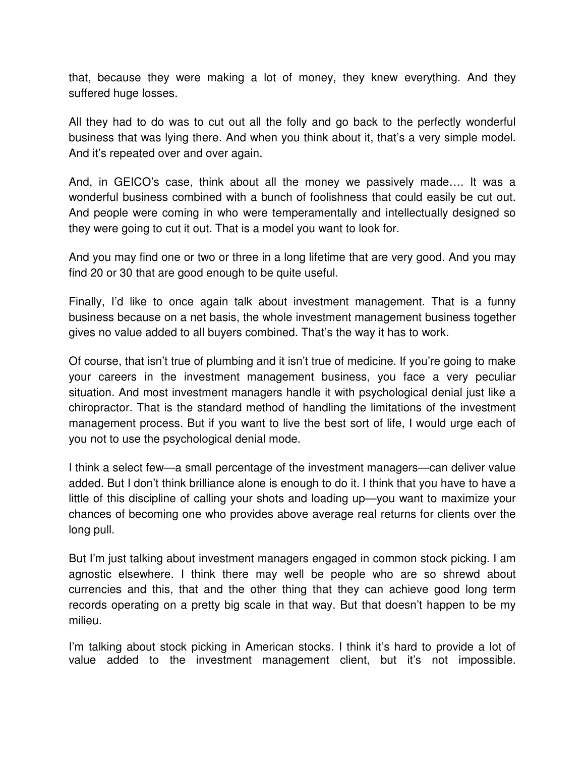that, because they were making a lot of money, they knew everything. And they suffered huge losses.

All they had to do was to cut out all the folly and go back to the perfectly wonderful business that was lying there. And when you think about it, that's a very simple model. And it's repeated over and over again.

And, in GEICO's case, think about all the money we passively made…. It was a wonderful business combined with a bunch of foolishness that could easily be cut out. And people were coming in who were temperamentally and intellectually designed so they were going to cut it out. That is a model you want to look for.

And you may find one or two or three in a long lifetime that are very good. And you may find 20 or 30 that are good enough to be quite useful.

Finally, I'd like to once again talk about investment management. That is a funny business because on a net basis, the whole investment management business together gives no value added to all buyers combined. That's the way it has to work.

Of course, that isn't true of plumbing and it isn't true of medicine. If you're going to make your careers in the investment management business, you face a very peculiar situation. And most investment managers handle it with psychological denial just like a chiropractor. That is the standard method of handling the limitations of the investment management process. But if you want to live the best sort of life, I would urge each of you not to use the psychological denial mode.

I think a select few—a small percentage of the investment managers—can deliver value added. But I don't think brilliance alone is enough to do it. I think that you have to have a little of this discipline of calling your shots and loading up—you want to maximize your chances of becoming one who provides above average real returns for clients over the long pull.

But I'm just talking about investment managers engaged in common stock picking. I am agnostic elsewhere. I think there may well be people who are so shrewd about currencies and this, that and the other thing that they can achieve good long term records operating on a pretty big scale in that way. But that doesn't happen to be my milieu.

I'm talking about stock picking in American stocks. I think it's hard to provide a lot of value added to the investment management client, but it's not impossible.